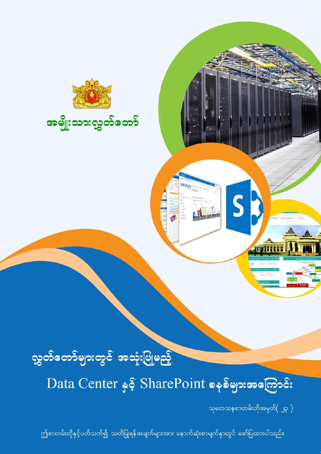

# လွှတ်တော်များတွင် အသုံးပြုမည့်

Data Center နှင့် SharePoint စနစ်များအကြောင်း

သုတေသနစာတမ်းတိုအမှတ်( ၂၃ )

ဤစာတမ်းတိုနှင့်ပတ်သက်၍ သတိပြုရန်အချက်များအား နောက်ဆုံးစာမျက်နှာတွင် ဖော်ပြထားပါသည်။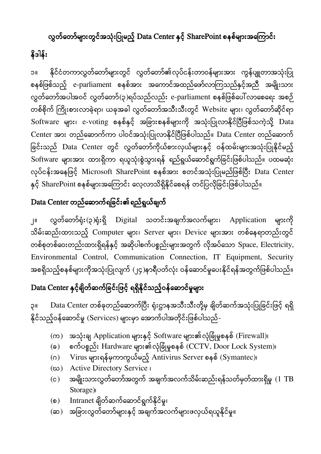### လွှတ်တော်များတွင်အသုံးပြုမည့် Data Center နှင့် SharePoint စနစ်များအကြောင်း

## နိဒါန်း

၁။ နိုင်ငံတကာလွှတ်တော်များတွင် လွှတ်တော်၏လုပ်ငန်းတာဝန်များအား ကွန်ပျူတာအသုံးပြု စနစ်ဖြစ်သည့် e-parliament စနစ်အား အကောင်အထည်ဖော်လာကြသည်နှင့်အညီ အမျိုးသား လွှတ်တော်အပါအဝင် လွှတ်တော်(၃)ရပ်သည်လည်း e-parliament စနစ်ဖြစ်ပေါ်လာစေရေး အစဉ် တစ်စိုက် ကြိုးစားလာခဲ့ရာ၊ ယခုအခါ လွှတ်တော်အသီးသီးတွင် Website များ၊ လွှတ်တော်ဆိုင်ရာ Software များ၊ e-voting စနစ်နှင့် အခြားစနစ်များကို အသုံးပြုလာနိုင်ပြီဖြစ်သကဲ့သို့ Data Center အား တည်ဆောက်ကာ ပါဝင်အသုံးပြုလာနိုင်ပြီဖြစ်ပါသည်။ Data Center တည်ဆောက် ခြင်းသည် Data Center တွင် လွှတ်တော်ကိုယ်စားလှယ်များနှင့် ဝန်ထမ်းများအသုံးပြုနိုင်မည့် Software များအား ထားရှိကာ ရယူသုံးစွဲသွားရန် ရည်ရွယ်ဆောင်ရွက်ခြင်းဖြစ်ပါသည်။ ပထမဆုံး လုပ်ငန်းအနေဖြင့် Microsoft SharePoint စနစ်အား စတင်အသုံးပြုမည်ဖြစ်ပြီး Data Center နှင့် SharePoint စနစ်များအကြောင်း လေ့လာသိရှိနိုင်စေရန် တင်ပြလိုခြင်းဖြစ်ပါသည်။

### Data Center တည်ဆောက်ရခြင်း၏ရည်ရွယ်ချက်

၂။ လွှတ်တော်ရုံး(၃)ရုံးရှိ Digital သတင်းအချက်အလက်များ၊ Application များကို သိမ်းဆည်းထားသည့် Computer များ၊ Server များ၊ Device များအား တစ်နေရာတည်းတွင် တစ်စုတစ်ဝေးတည်းထားရှိရန်နှင့် အဆိုပါစက်ပစ္စည်းများအတွက် လိုအပ်သော Space, Electricity, Environmental Control, Communication Connection, IT Equipment, Security အစရှိသည့်စနစ်များကိုအသုံးပြုလျက် (၂၄)နာရီပတ်လုံး ဝန်ဆောင်မှုပေးနိုင်ရန်အတွက်ဖြစ်ပါသည်။

# Data Center နှင့်ချိတ်ဆက်ခြင်းဖြင့် ရရှိနိုင်သည့်ဝန်ဆောင်မှုများ

၃။ Data Center တစ်ခုတည်ဆောက်ပြီး ရုံးဌာနအသီးသီးတို့မှ ချိတ်ဆက်အသုံးပြုခြင်းဖြင့် ရရှိ နိုင်သည့်ဝန်ဆောင်မှု (Services) များမှာ အောက်ပါအတိုင်းဖြစ်ပါသည်-

- (က) အသုံးချ Application များနှင့် Software များ၏လုံခြုံမှုစနစ် (Firewall)၊
- (ခ) စက်ပစ္စည်း Hardware များ၏လုံခြုံမှုစနစ် $\overline{\text{ (CCTV, Door} }$  Lock System)၊
- (ဂ) Virus များရန်မှကာကွယ်မည့် Antivirus Server စနစ် (Symantec)၊
- (ဃ) Active Directory Service ၊
- (င) အမျိုးသားလွှတ်တော်အတွက် အချက်အလက်သိမ်းဆည်းရန်သတ်မှတ်ထားရှိမှု ( $1 \text{ TB}$ Storage)၊
- (စ) Intranet ချိတ်ဆက်ဆောင်ရွက်နိုင်မှု၊
- (ဆ) အခြားလွှတ်တော်များနှင့် အချက်အလက်များဖလှယ်ရယူနိုင်မှု။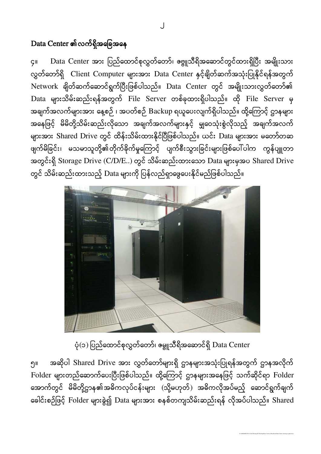### $Data Center$  ၏လက်ရှိအခြေအနေ

၄။ Data Center အား ပြည်ထောင်စုလွှတ်တော်၊ ဧဗ္ဗူသီရိအဆောင်တွင်ထားရှိပြီး အမျိုးသား လွှတ်တော်ရှိ Client Computer များအား Data Center နှင့်ချိတ်ဆက်အသုံးပြုနိုင်ရန်အတွက် Network ချိတ်ဆက်ဆောင်ရွက်ပြီးဖြစ်ပါသည်။ Data Center တွင် အမျိုးသားလွှတ်တော်၏ Data များသိမ်းဆည်းရန်အတွက် File Server တစ်ခုထားရှိပါသည်။ ထို File Server မှ အချက်အလက်များအား နေ့စဉ် ၊ အပတ်စဉ် Backup ရယူပေးလျက်ရှိပါသည်။ ထို့ကြောင့် ဌာနများ အနေဖြင့် မိမိတို့သိမ်းဆည်းလိုသော အချက်အလက်များနှင့် မျှဝေသုံးစွဲလိုသည့် အချက်အလက် များအား Shared Drive တွင် ထိန်းသိမ်းထားနိုင်ပြီဖြစ်ပါသည်။ ယင်း Data များအား မတော်တဆ ဖျက်မိခြင်း၊ မသမာသူတို့၏တိုက်ခိုက်မှုကြောင့် ပျက်စီးသွားခြင်းများဖြစ်ပေါ်ပါက ကွန်ပျူတာ အတွင်းရှိ Storage Drive (C/D/E..) တွင် သိမ်းဆည်းထားသော Data များမှအပ Shared Drive တွင် သိမ်းဆည်းထားသည့် Data များကို ပြန်လည်ရှာဖွေပေးနိုင်မည်ဖြစ်ပါသည်။



ပုံ(၁) ပြည်ထောင်စုလွှတ်တော်၊ ဓမ္ဗူသီရိအဆောင်ရှိ Data Center

၅။ အဆိုပါ Shared Drive အား လွှတ်တော်များရှိ ဌာနများအသုံးပြုရန်အတွက် ဌာနအလိုက် Folder များတည်ဆောက်ပေးပြီးဖြစ်ပါသည်။ ထို့ကြောင့် ဌာနများအနေဖြင့် သက်ဆိုင်ရာ Folder အောက်တွင် မိမိတို့ဌာန၏အဓိကလုပ်ငန်းများ (သို့မဟုတ်) အဓိကလိုအပ်မည့် ဆောင်ရွက်ချက် ခေါင်းစဉ်ဖြင့် Folder များခွဲ၍ Data များအား စနစ်တကျသိမ်းဆည်းရန် လိုအပ်ပါသည်။ Shared

D:\AMH-RPI-DT-011\2nd Meeting\ICT Briefing\Data Center & SharePoint\Share Point' Advantage update.docx

J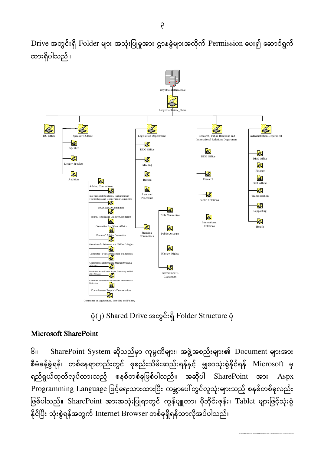Drive အတွင်းရှိ Folder များ အသုံးပြုမှုအား ဌာနခွဲများအလိုက် Permission ပေး၍ ဆောင်ရွက် ထာဵရ္ိပါသညံ။



 $\dot{\varphi}$ (၂) Shared Drive အတွင်းရှိ Folder Structure ပုံ

#### Microsoft SharePoint

၆။ SharePoint System ဆိုသည်မှာ ကုမ္ပဏီများ၊ အဖွဲ့အစည်းများ၏ Document များအား စီမံခန့်ခွဲရန်၊ တစ်နေရာတည်းတွင် စုစည်းသိမ်းဆည်းရန်နှင့် မျှဝေသုံးစွဲနိုင်ရန် Microsoft မှ ရည်ရွယ်ထုတ်လုပ်ထားသည့် စနစ်တစ်ခုဖြစ်ပါသည်။ အဆိုပါ SharePoint အား Aspx Programming Language ဖြင့်ရေးသားထားပြီး ကမ္ဘာပေါ်တွင်လူသုံးများသည့် စနစ်တစ်ခုလည်း ဖြစ်ပါသည်။ SharePoint အားအသုံးပြုရာတွင် ကွန်ပျူတာ၊ မိုဘိုင်းဖုန်း၊ Tablet များဖြင့်သုံးစွဲ နိုင်ပြီး သုံးစွဲရန်အတွက် Internet Browser တစ်ခုရှိရန်သာလိုအပ်ပါသည်။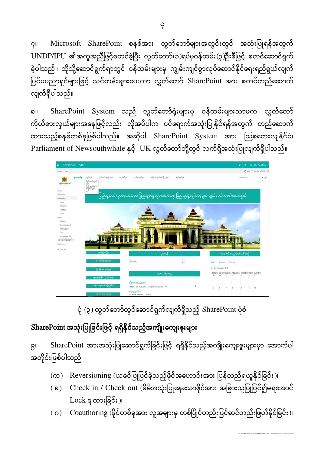၇။ Microsoft SharePoint စနစ်အား လွှတ်တော်များအတွင်းတွင် အသုံးပြုရန်အတွက် UNDP/IPU ၏အကူအညီဖြင့်စတင်ခဲ့ပြီး လွှတ်တော်(၁)ရပ်မှဝန်ထမ်း(၃)ဦးစီဖြင့် စတင်ဆောင်ရွက် ခဲ့ပါသည်။ ထိုသို့ဆောင်ရွက်ရာတွင် ဝန်ထမ်းများမှ ကျွမ်းကျင်စွာလုပ်ဆောင်နိုင်ရေးရည်ရွယ်လျက် ပြင်ပပညာရှင်များဖြင့် သင်တန်းများပေးကာ လွှတ်တော် SharePoint အား စတင်တည်ဆောက် လျက်ရှိပါသည်။

၈။ SharePoint System သည် လွှတ်တော်ရုံးများမှ ဝန်ထမ်းများသာမက လွှတ်တော် ကိုယ်စားလှယ်များအနေဖြင့်လည်း လိုအပ်ပါက ဝင်ရောက်အသုံးပြုနိုင်ရန်အတွက် တည်ဆောက် ထားသည့်စနစ်တစ်ခုဖြစ်ပါသည်။ အဆိုပါ SharePoint System အား ဩစတေးလျနိုင်ငံ၊ Parliament of Newsouthwhale နှင့် UK လွှတ်တော်တို့တွင် လက်ရှိအသုံးပြုလျက်ရှိပါသည်။



ပုံ (၃) လွှတ်တော်တွင်ဆောင်ရွက်လျက်ရှိသည့် SharePoint ပုံစံ

### SharePoint အသုံးပြုခြင်းဖြင့် ရရှိနိုင်သည့်အကျိုးကျေးဇူးများ

၉။ SharePoint အားအသုံးပြုဆောင်ရွက်ိခြင်းဖြင့် ရရှိနိုင်သည့်အကျိုးကျေးဇူးများမှာ အောက်ပါ အတိုင်းဖြစ်ပါသည် -

- (က) Reversioning (ယခင်ပြုပြင်ခဲ့သည့်ဖိုင်အဟောင်းအား ပြန်လည်ရယူနိုင်ခြင်း)၊
- ( ခ) Check in / Check out (မိမိအသုံးပြုနေသောဖိုင်အား အခြားသူပြုပြင်၍မရအောင်  $Lock$  ချထားခြင်း)၊
- ( ဂ) Coauthoring (ဖိုင်တစ်ခုအား လူအများမှ တစ်ပြိုင်တည်းပြင်ဆင်တည်းဖြတ်နိုင်ခြင်း)၊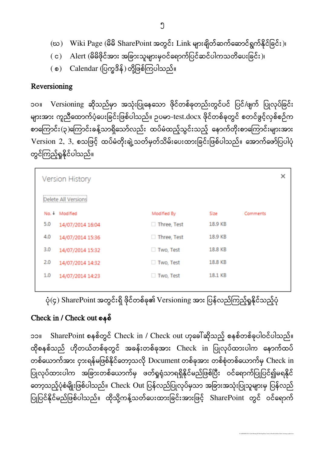- (ဃ) Wiki Page (မိမိ SharePoint အတွင်း Link များချိတ်ဆက်ဆောင်ရွက်နိုင်ခြင်း)၊
- ( င) Alert (မိမိဖိုင်အား အခြားသူများမှဝင်ရောက်ပြင်ဆင်ပါကသတိပေးခြင်း)၊
- ( စ) Calendar (ပြက္ခဒိန်) တို့ဖြစ်ကြပါသည်။

#### Reversioning

၁၀။ Versioning ဆိုသည်မှာ အသုံးပြုနေသော ဖိုင်တစ်ခုတည်းတွင်ပင် ပြင်/ဖျက် ပြုလုပ်ခြင်း များအား ကူညီထောက်ပံ့ပေးခြင်းဖြစ်ပါသည်။ ဥပမာ-test.docx ဖိုင်တစ်ခုတွင် စတင်ဖွင့်လှစ်စဉ်က စာကြောင်း (၃)ကြောင်းခန့်သာရှိသော်လည်း ထပ်မံထည့်သွင်းသည့် နောက်တိုးစာကြောင်းများအား Version 2, 3, စသဖြင့် ထပ်မံတိုးချဲ့သတ်မှတ်သိမ်းပေးထားခြင်းဖြစ်ပါသည်။ အောက်ဖော်ပြပါပုံ တွင်ကြည့်ရှုနိုင်ပါသည်။

|             |         |          | × |
|-------------|---------|----------|---|
|             |         |          |   |
| Modified By | Size    | Comments |   |
| Three, Test | 18.9 KB |          |   |
| Three, Test | 18.9 KB |          |   |
| Two, Test   | 18.8 KB |          |   |
| Two, Test   | 18.8 KB |          |   |
| □ Two, Test | 18.1 KB |          |   |
|             |         |          |   |

 $\dot{\varphi}(\varsigma)$  SharePoint အတွင်းရှိ ဖိုင်တစ်ခု၏ Versioning အား ပြန်လည်ကြည့်ရှုနိုင်သည့်ပုံ

### Check in / Check out စနစံ

၁၁။ SharePoint စနစ်တွင် Check in / Check out ဟုခေါ်ဆိုသည့် စနစ်တစ်ခုပါဝင်ပါသည်။ ထိုစနစ်သည် ဟိုတယ်တစ်ခုတွင် အခန်းတစ်ခုအား Check in ပြုလုပ်ထားပါက နောက်ထပ် တစ်ယောက်အား ငှားရန်မဖြစ်နိုင်တော့သလို Document တစ်ခုအား တစ်စုံတစ်ယောက်မှ Check in ပြုလုပ်ထားပါက အခြားတစ်ယောက်မှ ဖတ်ရှုရုံသာရရှိနိုင်မည်ဖြစ်ပြီး ဝင်ရောက်ပြုပြင်၍မရနိုင် တော့သည့်ပုံစံမျိုးဖြစ်ပါသည်။ Check Out ပြန်လည်ပြုလုပ်မှသာ အခြားအသုံးပြုသူများမှ ပြန်လည် ပြုပြင်နိုင်မည်ဖြစ်ပါသည်။ ထိုသို့ကန့်သတ်ပေးထားခြင်းအားဖြင့် SharePoint တွင် ဝင်ရောက်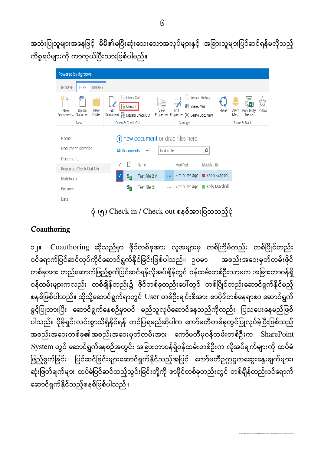အသုံးပြုသူများအနေဖြင့် မိမိ၏မပြီးဆုံးသေးသောအလုပ်များနှင့် အခြားသူများပြင်ဆင်ရန်မလိုသည့် ကိစ္စရပ်များကို ကာကွယ်ပြီးသားဖြစ်ပါမည်။

| Powered by itgroove                                            |                                                                                    |                                                                                                                      |                |                                                 |
|----------------------------------------------------------------|------------------------------------------------------------------------------------|----------------------------------------------------------------------------------------------------------------------|----------------|-------------------------------------------------|
| <b>FILES</b><br>LIBRARY<br><b>BROWSE</b>                       |                                                                                    |                                                                                                                      |                |                                                 |
| жъ<br>New<br>Upload<br>New<br>Folder<br>Document<br>Document + | Check Out<br>à<br><b>R</b> Check In<br>Edit<br>Document <b>C</b> Discard Check Out | <b>D</b> Version History<br><u>ia</u><br>瞗<br>Shared With<br>View<br>Edit<br>Properties Properties X Delete Document | Share          | Popularity<br>Follow<br>Alert<br>Me -<br>Trends |
| New                                                            | Open & Check Out                                                                   | Manage                                                                                                               |                | Share & Track                                   |
| Home<br>Document Libraries                                     | <b>All Documents</b><br>0.0.0                                                      | $\left(\frac{1}{\sqrt{1}}\right)$ new document or drag files here<br>Find a file                                     | ρ              |                                                 |
| Documents                                                      | √                                                                                  |                                                                                                                      |                |                                                 |
| Required Check Out On                                          | Name                                                                               | Modified                                                                                                             | Modified By    |                                                 |
| Notebook                                                       | 囁<br>Test File 2 #                                                                 | 3 minutes ago<br>$\cdots$                                                                                            | Karin Skapski  |                                                 |
| Pictures                                                       | 囁<br>Test File #                                                                   | 7 minutes ago<br>888                                                                                                 | Kelly Marshall |                                                 |
| Lists                                                          |                                                                                    |                                                                                                                      |                |                                                 |

ပုံ (၅) Check in / Check out စနစ်အားပြသသည့်ပုံ

### **Coauthoring**

၁၂။ Coauthoring ဆိုသည်မှာ ဖိုင်တစ်ခုအား လူအများမှ တစ်ကြိမ်တည်း တစ်ပြိုင်တည်း ဝင်ရောက်ပြင်ဆင်လုပ်ကိုင်ဆောင်ရွက်နိုင်ခြင်းဖြစ်ပါသည်။ ဥပမာ - အစည်းအဝေးမှတ်တမ်းဖိုင် တစ်ခုအား တည်ဆောက်ဖြည့်စွက်ပြင်ဆင်ရန်လိုအပ်ချိန်တွင် ဝန်ထမ်းတစ်ဦးသာမက အခြားတာဝန်ရှိ ဝန်ထမ်းများကလည်း တစ်ချိန်တည်း၌ ဖိုင်တစ်ခုတည်းပေါ်တွင် တစ်ပြိုင်တည်းဆောင်ရွက်နိုင်မည့် စနစ်ဖြစ်ပါသည်။ ထိုသို့ဆောင်ရွက်ရာတွင် User တစ်ဦးချင်းစီအား စာပိုဒ်တစ်နေရာစာ ဆောင်ရွက် ခွင့်ပြုထားပြီး ဆောင်ရွက်နေစဉ်မှာပင် မည်သူလုပ်ဆောင်နေသည်ကိုလည်း ပြသပေးနေမည်ဖြစ် ပါသည်။ ပိုမိုရှင်းလင်းစွာသိရှိနိုင်ရန် တင်ပြရမည်ဆိုပါက ကော်မတီတစ်ခုတွင်ပြုလုပ်ခဲ့ပြီးဖြစ်သည့် အစည်းအဝေးတစ်ခု၏အစည်းအဝေးမှတ်တမ်းအား ကော်မတီမှဝန်ထမ်းတစ်ဦးက SharePoint System တွင် ဆောင်ရွက်နေစဉ်အတွင်း အခြားတာဝန်ရှိဝန်ထမ်းတစ်ဦးက လိုအပ်ချက်များကို ထပ်မံ ဖြည့်စွက်ခြင်း၊ ပြင်ဆင်ခြင်းများဆောင်ရွက်နိုင်သည့်အပြင် ကော်မတီဥက္ကဋ္ဌကဆွေးနွေးချက်များ၊ ဆုံးဖြတ်ချက်များ ထပ်မံပြင်ဆင်ထည့်သွင်းခြင်းတို့ကို စာဖိုင်တစ်ခုတည်းတွင် တစ်ချိန်တည်းဝင်ရောက် ဆောင်ရွက်နိုင်သည့်စနစ်ဖြစ်ပါသည်။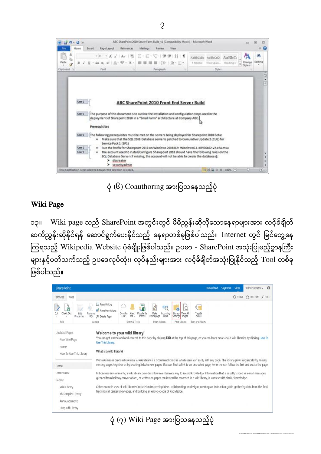

 $\phi$  (၆) Coauthoring အားပြသနေသည့်ပုံ

#### Wiki Page

၁၃။ Wiki page သည် SharePoint အတွင်းတွင် မိမိညွှန်းဆိုလိုသောနေရာများအား လင့်ခ်ရိုတ် ဆက်ညွှန်းဆိုနိုင်ရန် ဆောင်ရွက်ပေးနိုင်သည့် နေရာတစ်ခုဖြစ်ပါသည်။ Internet တွင် မြင်တွေ့နေ ကြရသည့် Wikipedia Website ပုံစံမျိုးဖြစ်ပါသည်။ ဥပမာ - SharePoint အသုံးပြုမည့်ဌာနကြီး များနှင့်ပတ်သက်သည့် ဥပဒေလုပ်ထုံး၊ လုပ်နည်းများအား လင့်ခ်ချိတ်အသုံးပြုနိုင်သည့် Tool တစ်ခု ဖြစ်ပါသည်။

| <b>BROWSE</b><br>PAGE<br>Þ<br>Check Out<br>Rename<br>Page<br><b>Properties</b><br>Edit<br>Manage<br><b>Updated Pages</b><br>New Wiki Page<br>Home. | Pl- Page History<br><b>A</b> <sup>2</sup> Page Permissions<br>E-mail a<br>X Delete Page<br>Welcome to your wiki library!<br>You can get started and add content to this page by clicking Edit at the top of this page, or you can learn more about wiki libraries by clicking How To<br>Use This Library. | <b>Popularity</b><br>Share & Track | ත<br>₫<br>Make<br>Incoming<br>Links<br>Homepage<br>Page Actions | ö<br>Library<br>View All<br>Pages<br>Settings<br>Page Library | $\left( \cdot \right)$<br>Tags &<br>Notes<br>Tags and Notes |  | $O$ share $\frac{1}{2}$ follow $\neq$ edit |
|----------------------------------------------------------------------------------------------------------------------------------------------------|-----------------------------------------------------------------------------------------------------------------------------------------------------------------------------------------------------------------------------------------------------------------------------------------------------------|------------------------------------|-----------------------------------------------------------------|---------------------------------------------------------------|-------------------------------------------------------------|--|--------------------------------------------|
|                                                                                                                                                    |                                                                                                                                                                                                                                                                                                           |                                    |                                                                 |                                                               |                                                             |  |                                            |
|                                                                                                                                                    |                                                                                                                                                                                                                                                                                                           |                                    |                                                                 |                                                               |                                                             |  |                                            |
| How To Use This Library                                                                                                                            | What is a wiki library?<br>Wikiwiki means quick in Hawaiian. A wiki library is a document library in which users can easily edit any page. The library grows organically by linking                                                                                                                       |                                    |                                                                 |                                                               |                                                             |  |                                            |
| Home                                                                                                                                               | existing pages together or by creating links to new pages. If a user finds a link to an uncreated page, he or she can follow the link and create the page.                                                                                                                                                |                                    |                                                                 |                                                               |                                                             |  |                                            |
| Documents<br>Recent                                                                                                                                | In business environments, a wiki library provides a low-maintenance way to record knowledge. Information that is usually traded in e-mail messages,<br>gleaned from hallway conversations, or written on paper can instead be recorded in a wiki-library, in context with similar knowledge.              |                                    |                                                                 |                                                               |                                                             |  |                                            |
| Wiki Library<br>KB Samples Library<br>Announcements<br>Drop Off Library                                                                            | Other example uses of wiki libraries include brainstorming ideas, collaborating on designs, creating an instruction quide, gathering data from the field,<br>tracking call center knowledge, and building an encyclopedia of knowledge.                                                                   |                                    |                                                                 |                                                               |                                                             |  |                                            |

 $\phi$  (၇) Wiki Page အားပြသနေသည့်ပုံ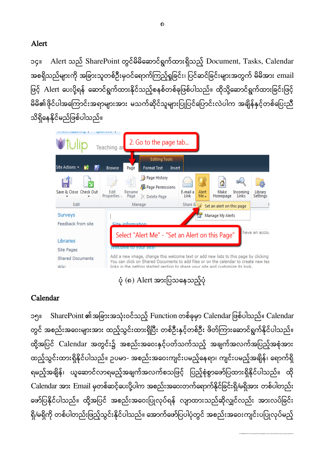#### Alert

၁၄။ Alert သည် SharePoint တွင်မိမိဆောင်ရွက်ထားရှိသည့် Document, Tasks, Calendar အစရှိသည်များကို အခြားသူတစ်ဦးမှဝင်ရောက်ကြည့်ရှုခြင်း၊ ပြင်ဆင်ခြင်းများအတွက် မိမိအား email ဖြင့် Alert ပေးပို့ရန် ဆောင်ရွက်ထားနိုင်သည့်စနစ်တစ်ခုဖြစ်ပါသည်။ ထိုသို့ဆောင်ရွက်ထားခြင်းဖြင့် မိမိ၏ဖိုင်ပါအကြောင်းအရာများအား မသက်ဆိုင်သူများပြုပြင်ပြောင်းလဲပါက အချိန်နှင့်တစ်ပြေးညီ သိရှိနေနိုင်မည်ဖြစ်ပါသည်။



 $\dot{\varphi}$  (၈)  $\dot{\varphi}$  Alert အားပြသနေသည့်ပုံ

#### Calendar

၁၅။ SharePoint ၏အခြားအသုံးဝင်သည့် Function တစ်ခုမှာ Calendar ဖြစ်ပါသည်။ Calendar တွင် အစည်းအဝေးများအား ထည့်သွင်းထားရှိပြီး တစ်ဦးနှင့်တစ်ဦး ဖိတ်ကြားဆောင်ရွက်နိုင်ပါသည်။ ထို့အပြင် Calendar အတွင်း၌ အစည်းအဝေးနှင့်ပတ်သက်သည့် အချက်အလက်အပြည့်အစုံအား ထည့်သွင်းထားရှိနိုင်ပါသည်။ ဉပမာ- အစည်းအဝေးကျင်းပမည့်နေရာ၊ ကျင်းပမည့်အချိန်၊ ရောက်ရှိ ရမည့်အချိန်၊ ယူဆောင်လာရမည့်အချက်အလက်စသဖြင့် ပြည့်စုံစွာဖော်ပြထားရှိနိုင်ပါသည်။ ထို Calendar အား Email မှတစ်ဆင့်ပေးပို့ပါက အစည်းအဝေးတက်ရောက်နိုင်ခြင်းရှိ/မရှိအား တစ်ပါတည်း ဖော်ပြနိုင်ပါသည်။ ထို့အပြင် အစည်းအဝေးပြုလုပ်ရန် လျာထားသည်ဆိုလျှင်လည်း အားလပ်ခြင်း ရှိ/မရှိကို တစ်ပါတည်းဖြည့်သွင်းနိုင်ပါသည်။ အောက်ဖော်ပြပါပုံတွင် အစည်းအဝေးကျင်းပပြုလုပ်မည့်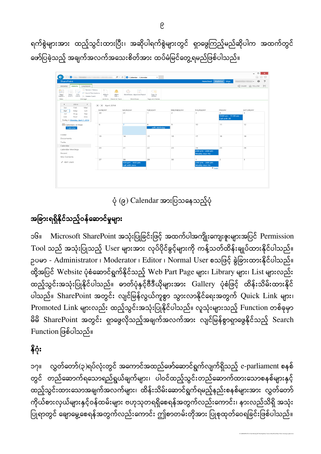ရက်စွဲများအား ထည့်သွင်းထားပြီး၊ အဆိုပါရက်စွဲများတွင် ရှာဖွေကြည့်မည်ဆိုပါက အထက်တွင် ဖော်ပြခဲ့သည့် အချက်အလက်အသေးစိတ်အား ထပ်မံမြင်တွေ့ရမည်ဖြစ်ပါသည်။

| $\circ$ B                                                                                                                                                                                                           |                                                                             | $\mathcal{Q} \times \mathcal{O}$   $S$ > Calendar - Calendar       | $\boldsymbol{\times}$                           |                |                                                            |                                                           | $\mathbf{x}$<br>$\qquad \qquad \Box$<br>$\overline{\phantom{0}}$<br>命 公 @ |
|---------------------------------------------------------------------------------------------------------------------------------------------------------------------------------------------------------------------|-----------------------------------------------------------------------------|--------------------------------------------------------------------|-------------------------------------------------|----------------|------------------------------------------------------------|-----------------------------------------------------------|---------------------------------------------------------------------------|
| <b>SharePoint</b>                                                                                                                                                                                                   |                                                                             |                                                                    |                                                 |                | Newsfeed                                                   | SkyDrive Sites                                            | $\overline{?}$<br>档                                                       |
| CALENDAR<br><b>EVENTS</b><br><b>BROWSE</b>                                                                                                                                                                          |                                                                             |                                                                    |                                                 |                |                                                            |                                                           | C SHARE TO FOLLOW [C]                                                     |
| Version History<br>M.<br>e<br><b>A</b> <sup>2</sup> Event Permissions<br>View<br>$\begin{array}{ll} \mbox{Edit} \\ \mbox{Event} \end{array} \times \mbox{Delete Event}$<br>New<br>Event -<br>Event<br>Manage<br>New | $0^{-5}$<br>▃<br>Attach<br>Alert<br>File<br>$Me -$<br>Actions Share & Track | $\mathbb{R}^n$<br>$G_{1}$<br>Workflows Approve/Reject<br>Workflows | $\epsilon$<br>Tags &<br>Notes<br>Tags and Notes |                |                                                            |                                                           |                                                                           |
| 2014<br>$\mathbb{P}$<br>$\blacktriangleleft$<br>Feb<br>Mar<br>Jan<br>May<br>Jun<br>Apr                                                                                                                              | $\leftrightarrow$ $\leftrightarrow$ April 2014<br>SUNDAY                    | <b>MONDAY</b>                                                      | TUESDAY                                         | WEDNESDAY      | THURSDAY                                                   | FRIDAY                                                    | SATURDAY                                                                  |
| Jul<br>Aug<br>Sep<br>Oct<br>Nov<br><b>Dec</b><br>Today is Monday, April 7, 2014                                                                                                                                     | 30                                                                          | 31                                                                 | $\mathbf{1}$                                    | $\overline{c}$ | $\overline{3}$                                             | $\boldsymbol{A}$<br>10:00 am - 11:00 am<br>Call with Jill | $\overline{\mathbf{5}}$                                                   |
| <b>TH</b> Calendars in View<br>Calendar                                                                                                                                                                             | 6                                                                           | $\overline{7}$                                                     | 8<br><b>Jeff's Birthday</b>                     | $\overline{9}$ | 10                                                         | 11                                                        | 12                                                                        |
| Home<br>Documents<br>Tasks<br>Calendar                                                                                                                                                                              | 13                                                                          | 14                                                                 | 15                                              | 16             | 17                                                         | 18                                                        | 19                                                                        |
| Calendar Meetings<br>Recent<br>Site Contents                                                                                                                                                                        | 20                                                                          | 21                                                                 | 22                                              | 23             | 24<br>2:00 pm - 3:00 pm<br><b>Weekly Jour Flx</b>          | 25                                                        | 26                                                                        |
| $\angle$ EDIT LINKS                                                                                                                                                                                                 | 27                                                                          | 28<br>5:00 pm - 6:00 pm<br>Call with Jane                          | 29                                              | 30             | 1<br>2:00 pm - 3:00 pm<br><b>Weekly Jour Flx</b><br>$+Add$ | $\overline{c}$                                            | 3                                                                         |
|                                                                                                                                                                                                                     |                                                                             |                                                                    |                                                 |                |                                                            |                                                           |                                                                           |

 $\dot{\varphi}$  (၉)  $C$ alendar အားပြသနေသည့်ပုံ

# အခြားရရှိနိုင်သည့်ဝန်ဆောင်မှုများ

၁၆။ Microsoft SharePoint အသုံးပြုခြင်းဖြင့် အထက်ပါအကျိုးကျေးဇူးများအပြင် Permission Tool သည် အသုံးပြုသည့် User များအား လုပ်ပိုင်ခွင့်များကို ကန့်သတ်ထိန်းချုပ်ထားနိုင်ပါသည်။ ဉပမာ - Administrator ၊ Moderator ၊ Editor ၊ Normal User စသဖြင့် ခွဲခြားထားနိုင်ပါသည်။ ထို့အပြင် Website ပုံစံဆောင်ရွက်နိုင်သည့် Web Part Page များ၊ Library များ၊ List များလည်း ထည့်သွင်းအသုံးပြုနိုင်ပါသည်။ ဓာတ်ပုံနှင့်ဗီဒီယိုများအား Gallery ပုံစံဖြင့် ထိန်းသိမ်းထားနိုင် ပါသည်။ SharePoint အတွင်း လျင်မြန်လွယ်ကူစွာ သွားလာနိုင်ရေးအတွက် Quick Link များ၊ Promoted Link များလည်း ထည့်သွင်းအသုံးပြုနိုင်ပါသည်။ လူသုံးများသည့် Function တစ်ခုမှာ မိမိ SharePoint အတွင်း ရှာဖွေလိုသည့်အချက်အလက်အား လျင်မြန်စွာရှာဖွေနိုင်သည့် Search  $F$ unction ဖြစ်ပါသည်။

# နိဂုံး

၁၇။ လွှတ်တော်(၃)ရပ်လုံးတွင် အကောင်အထည်ဖော်ဆောင်ရွက်လျက်ရှိသည့် e-parliament စနစ် တွင် တည်ဆောက်ရသောရည်ရွယ်ချက်များ၊ ပါဝင်ထည့်သွင်းတည်ဆောက်ထားသောစနစ်များနှင့် ထည့်သွင်းထားသောအချက်အလက်များ၊ ထိန်းသိမ်းဆောင်ရွက်ရမည့်နည်းစနစ်များအား လွှတ်တော် ကိုယ်စားလှယ်များနှင့်ဝန်ထမ်းများ ဗဟုသုတရရှိစေရန်အတွက်လည်းကောင်း၊ နားလည်သိရှိ အသုံး ပြုရာတွင် ချောမွေ့စေရန်အတွက်လည်းကောင်း ဤစာတမ်းတိုအား ပြုစုထုတ်ဝေရခြင်းဖြစ်ပါသည်။